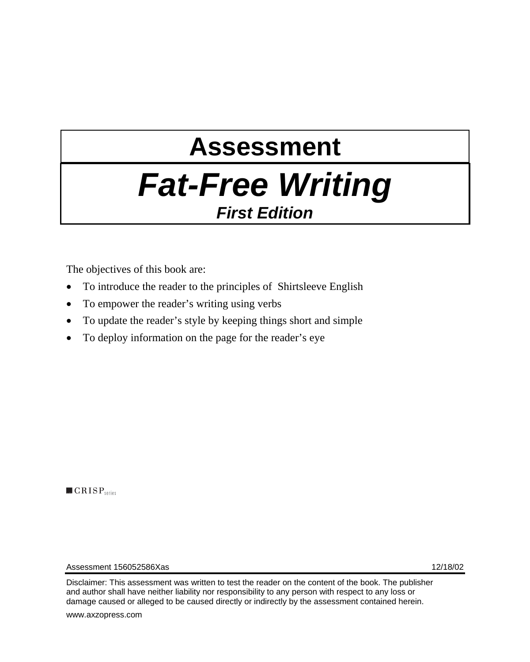# **Assessment**  *Fat-Free Writing First Edition*

The objectives of this book are:

- To introduce the reader to the principles of Shirtsleeve English
- To empower the reader's writing using verbs
- To update the reader's style by keeping things short and simple
- To deploy information on the page for the reader's eye

 $\blacksquare$  CRISP<sub>series</sub>

Assessment 156052586Xas 12/18/02

Disclaimer: This assessment was written to test the reader on the content of the book. The publisher and author shall have neither liability nor responsibility to any person with respect to any loss or damage caused or alleged to be caused directly or indirectly by the assessment contained herein.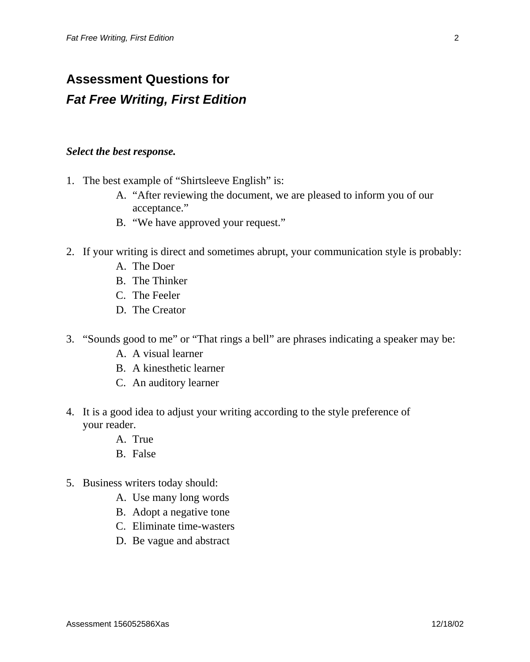### **Assessment Questions for**  *Fat Free Writing, First Edition*

#### *Select the best response.*

- 1. The best example of "Shirtsleeve English" is:
	- A. "After reviewing the document, we are pleased to inform you of our acceptance."
	- B. "We have approved your request."
- 2. If your writing is direct and sometimes abrupt, your communication style is probably:
	- A. The Doer
	- B. The Thinker
	- C. The Feeler
	- D. The Creator
- 3. "Sounds good to me" or "That rings a bell" are phrases indicating a speaker may be:
	- A. A visual learner
	- B. A kinesthetic learner
	- C. An auditory learner
- 4. It is a good idea to adjust your writing according to the style preference of your reader.
	- A. True
	- B. False
- 5. Business writers today should:
	- A. Use many long words
	- B. Adopt a negative tone
	- C. Eliminate time-wasters
	- D. Be vague and abstract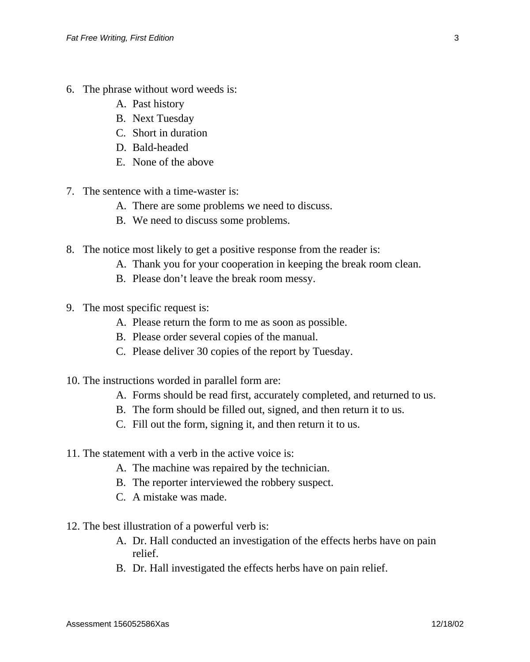- 6. The phrase without word weeds is:
	- A. Past history
	- B. Next Tuesday
	- C. Short in duration
	- D. Bald-headed
	- E. None of the above
- 7. The sentence with a time-waster is:
	- A. There are some problems we need to discuss.
	- B. We need to discuss some problems.
- 8. The notice most likely to get a positive response from the reader is:
	- A. Thank you for your cooperation in keeping the break room clean.
	- B. Please don't leave the break room messy.
- 9. The most specific request is:
	- A. Please return the form to me as soon as possible.
	- B. Please order several copies of the manual.
	- C. Please deliver 30 copies of the report by Tuesday.
- 10. The instructions worded in parallel form are:
	- A. Forms should be read first, accurately completed, and returned to us.
	- B. The form should be filled out, signed, and then return it to us.
	- C. Fill out the form, signing it, and then return it to us.
- 11. The statement with a verb in the active voice is:
	- A. The machine was repaired by the technician.
	- B. The reporter interviewed the robbery suspect.
	- C. A mistake was made.
- 12. The best illustration of a powerful verb is:
	- A. Dr. Hall conducted an investigation of the effects herbs have on pain relief.
	- B. Dr. Hall investigated the effects herbs have on pain relief.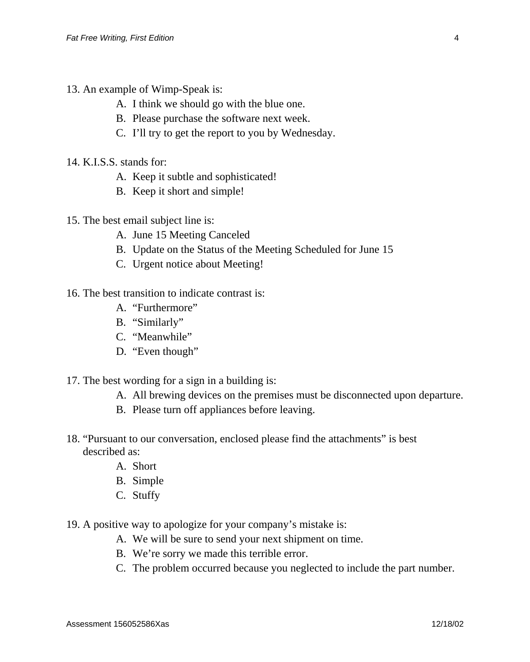- 13. An example of Wimp-Speak is:
	- A. I think we should go with the blue one.
	- B. Please purchase the software next week.
	- C. I'll try to get the report to you by Wednesday.
- 14. K.I.S.S. stands for:
	- A. Keep it subtle and sophisticated!
	- B. Keep it short and simple!
- 15. The best email subject line is:
	- A. June 15 Meeting Canceled
	- B. Update on the Status of the Meeting Scheduled for June 15
	- C. Urgent notice about Meeting!
- 16. The best transition to indicate contrast is:
	- A. "Furthermore"
	- B. "Similarly"
	- C. "Meanwhile"
	- D. "Even though"
- 17. The best wording for a sign in a building is:
	- A. All brewing devices on the premises must be disconnected upon departure.
	- B. Please turn off appliances before leaving.
- 18. "Pursuant to our conversation, enclosed please find the attachments" is best described as:
	- A. Short
	- B. Simple
	- C. Stuffy
- 19. A positive way to apologize for your company's mistake is:
	- A. We will be sure to send your next shipment on time.
	- B. We're sorry we made this terrible error.
	- C. The problem occurred because you neglected to include the part number.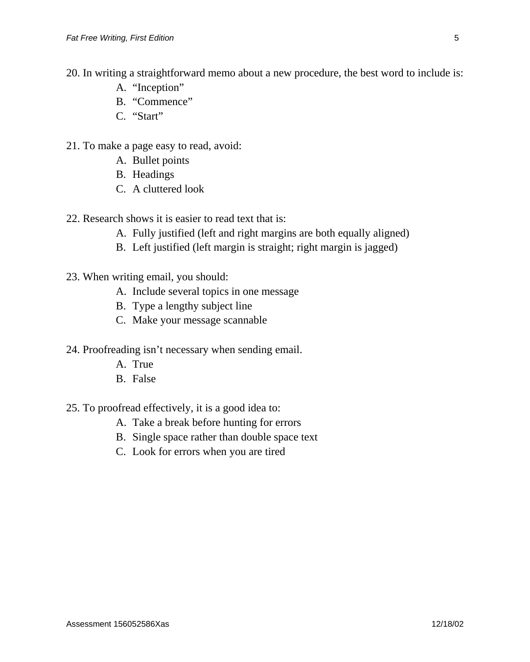- 20. In writing a straightforward memo about a new procedure, the best word to include is:
	- A. "Inception"
	- B. "Commence"
	- C. "Start"
- 21. To make a page easy to read, avoid:
	- A. Bullet points
	- B. Headings
	- C. A cluttered look
- 22. Research shows it is easier to read text that is:
	- A. Fully justified (left and right margins are both equally aligned)
	- B. Left justified (left margin is straight; right margin is jagged)
- 23. When writing email, you should:
	- A. Include several topics in one message
	- B. Type a lengthy subject line
	- C. Make your message scannable
- 24. Proofreading isn't necessary when sending email.
	- A. True
	- B. False
- 25. To proofread effectively, it is a good idea to:
	- A. Take a break before hunting for errors
	- B. Single space rather than double space text
	- C. Look for errors when you are tired